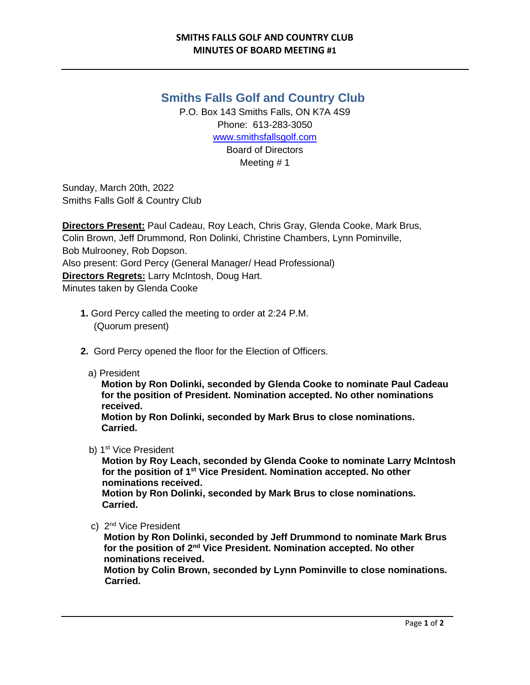## **Smiths Falls Golf and Country Club**

P.O. Box 143 Smiths Falls, ON K7A 4S9 Phone: 613-283-3050 [www.smithsfallsgolf.com](http://www.smithsfallsgolf.com/) Board of Directors Meeting # 1

Sunday, March 20th, 2022 Smiths Falls Golf & Country Club

**Directors Present:** Paul Cadeau, Roy Leach, Chris Gray, Glenda Cooke, Mark Brus, Colin Brown, Jeff Drummond, Ron Dolinki, Christine Chambers, Lynn Pominville, Bob Mulrooney, Rob Dopson. Also present: Gord Percy (General Manager/ Head Professional) **Directors Regrets:** Larry McIntosh, Doug Hart. Minutes taken by Glenda Cooke

- **1.** Gord Percy called the meeting to order at 2:24 P.M. (Quorum present)
- **2.** Gord Percy opened the floor for the Election of Officers.
	- a) President

 **Motion by Ron Dolinki, seconded by Glenda Cooke to nominate Paul Cadeau for the position of President. Nomination accepted. No other nominations received.** 

 **Motion by Ron Dolinki, seconded by Mark Brus to close nominations. Carried.** 

b) 1<sup>st</sup> Vice President

 **Motion by Roy Leach, seconded by Glenda Cooke to nominate Larry McIntosh for the position of 1st Vice President. Nomination accepted. No other nominations received. Motion by Ron Dolinki, seconded by Mark Brus to close nominations.** 

 **Carried.**

c) 2<sup>nd</sup> Vice President

**Motion by Ron Dolinki, seconded by Jeff Drummond to nominate Mark Brus for the position of 2nd Vice President. Nomination accepted. No other nominations received.**

**Motion by Colin Brown, seconded by Lynn Pominville to close nominations. Carried.**